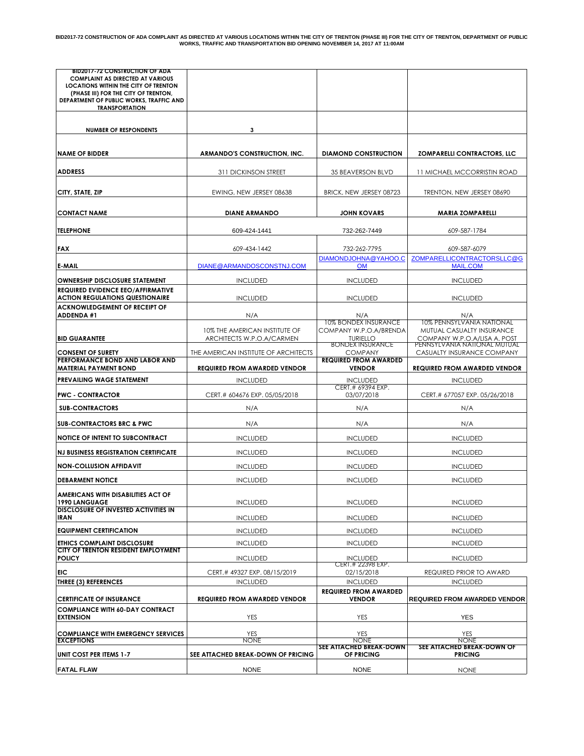| <b>BID2017-72 CONSTRUCTION OF ADA</b>                                              |                                      |                                                |                                                              |
|------------------------------------------------------------------------------------|--------------------------------------|------------------------------------------------|--------------------------------------------------------------|
| <b>COMPLAINT AS DIRECTED AT VARIOUS</b><br>LOCATIONS WITHIN THE CITY OF TRENTON    |                                      |                                                |                                                              |
| (PHASE III) FOR THE CITY OF TRENTON.                                               |                                      |                                                |                                                              |
| DEPARTMENT OF PUBLIC WORKS, TRAFFIC AND<br><b>TRANSPORTATION</b>                   |                                      |                                                |                                                              |
|                                                                                    |                                      |                                                |                                                              |
| <b>NUMBER OF RESPONDENTS</b>                                                       | 3                                    |                                                |                                                              |
|                                                                                    |                                      |                                                |                                                              |
| <b>NAME OF BIDDER</b>                                                              | <b>ARMANDO'S CONSTRUCTION, INC.</b>  | <b>DIAMOND CONSTRUCTION</b>                    | <b>ZOMPARELLI CONTRACTORS, LLC</b>                           |
|                                                                                    |                                      |                                                |                                                              |
| <b>ADDRESS</b>                                                                     | <b>311 DICKINSON STREET</b>          | <b>35 BEAVERSON BLVD</b>                       | 11 MICHAEL MCCORRISTIN ROAD                                  |
| CITY, STATE, ZIP                                                                   |                                      |                                                |                                                              |
|                                                                                    | EWING, NEW JERSEY 08638              | BRICK, NEW JERSEY 08723                        | TRENTON, NEW JERSEY 08690                                    |
| <b>CONTACT NAME</b>                                                                | <b>DIANE ARMANDO</b>                 | JOHN KOVARS                                    | <b>MARIA ZOMPARELLI</b>                                      |
|                                                                                    |                                      |                                                |                                                              |
| <b>TELEPHONE</b>                                                                   | 609-424-1441                         | 732-262-7449                                   | 609-587-1784                                                 |
| <b>FAX</b>                                                                         | 609-434-1442                         | 732-262-7795                                   | 609-587-6079                                                 |
|                                                                                    |                                      | DIAMONDJOHNA@YAHOO.C                           | ZOMPARELLICONTRACTORSLLC@G                                   |
| <b>E-MAIL</b>                                                                      | DIANE@ARMANDOSCONSTNJ.COM            | <b>OM</b>                                      | <b>MAIL.COM</b>                                              |
| <b>OWNERSHIP DISCLOSURE STATEMENT</b>                                              | <b>INCLUDED</b>                      | <b>INCLUDED</b>                                | <b>INCLUDED</b>                                              |
| <b>REQUIRED EVIDENCE EEO/AFFIRMATIVE</b><br><b>ACTION REGULATIONS QUESTIONAIRE</b> | <b>INCLUDED</b>                      | <b>INCLUDED</b>                                | <b>INCLUDED</b>                                              |
| <b>ACKNOWLEDGEMENT OF RECEIPT OF</b>                                               |                                      |                                                |                                                              |
| <b>ADDENDA #1</b>                                                                  | N/A                                  | N/A<br>10% BONDEX INSURANCE                    | N/A<br>10% PENNSYLVANIA NATIONAL                             |
|                                                                                    | 10% THE AMERICAN INSTITUTE OF        | COMPANY W.P.O.A/BRENDA                         | MUTUAL CASUALTY INSURANCE                                    |
| <b>BID GUARANTEE</b>                                                               | ARCHITECTS W.P.O.A/CARMEN            | TURIELLO<br><b>BONDEX INSURANCE</b>            | COMPANY W.P.O.A/LISA A. POST<br>PENNSYLVANIA NATIONAL MUTUAL |
| <b>CONSENT OF SURETY</b><br>PERFORMANCE BOND AND LABOR AND                         | THE AMERICAN INSTITUTE OF ARCHITECTS | <b>COMPANY</b><br><b>REQUIRED FROM AWARDED</b> | CASUALTY INSURANCE COMPANY                                   |
| <b>MATERIAL PAYMENT BOND</b>                                                       | <b>REQUIRED FROM AWARDED VENDOR</b>  | <b>VENDOR</b>                                  | <b>REQUIRED FROM AWARDED VENDOR</b>                          |
| PREVAILING WAGE STATEMENT                                                          | <b>INCLUDED</b>                      | <b>INCLUDED</b>                                | <b>INCLUDED</b>                                              |
|                                                                                    |                                      |                                                |                                                              |
| <b>PWC - CONTRACTOR</b>                                                            | CERT.# 604676 EXP. 05/05/2018        | CERT.# 69394 EXP.<br>03/07/2018                | CERT.# 677057 EXP. 05/26/2018                                |
|                                                                                    |                                      |                                                |                                                              |
| <b>SUB-CONTRACTORS</b>                                                             | N/A                                  | N/A                                            | N/A                                                          |
| <b>SUB-CONTRACTORS BRC &amp; PWC</b>                                               | N/A                                  | N/A                                            | N/A                                                          |
| <b>NOTICE OF INTENT TO SUBCONTRACT</b>                                             | <b>INCLUDED</b>                      | <b>INCLUDED</b>                                | <b>INCLUDED</b>                                              |
| <b>NJ BUSINESS REGISTRATION CERTIFICATE</b>                                        | <b>INCLUDED</b>                      | <b>INCLUDED</b>                                | <b>INCLUDED</b>                                              |
| <b>NON-COLLUSION AFFIDAVIT</b>                                                     | <b>INCLUDED</b>                      | <b>INCLUDED</b>                                | <b>INCLUDED</b>                                              |
| <b>DEBARMENT NOTICE</b>                                                            | <b>INCLUDED</b>                      | <b>INCLUDED</b>                                | <b>INCLUDED</b>                                              |
|                                                                                    |                                      |                                                |                                                              |
| AMERICANS WITH DISABILITIES ACT OF<br>1990 LANGUAGE                                | <b>INCLUDED</b>                      | <b>INCLUDED</b>                                | <b>INCLUDED</b>                                              |
| <b>DISCLOSURE OF INVESTED ACTIVITIES IN</b><br><b>IRAN</b>                         | <b>INCLUDED</b>                      | <b>INCLUDED</b>                                | <b>INCLUDED</b>                                              |
|                                                                                    |                                      |                                                |                                                              |
| <b>EQUIPMENT CERTIFICATION</b>                                                     | <b>INCLUDED</b>                      | <b>INCLUDED</b>                                | <b>INCLUDED</b>                                              |
| ETHICS COMPLAINT DISCLOSURE<br>CITY OF TRENTON RESIDENT EMPLOYMENT                 | <b>INCLUDED</b>                      | <b>INCLUDED</b>                                | <b>INCLUDED</b>                                              |
| <b>POLICY</b>                                                                      | <b>INCLUDED</b>                      | <b>INCLUDED</b><br>CERT.# 22398 EXP.           | <b>INCLUDED</b>                                              |
| EIC                                                                                | CERT.# 49327 EXP. 08/15/2019         | 02/15/2018                                     | REQUIRED PRIOR TO AWARD                                      |
| <b>THREE (3) REFERENCES</b>                                                        | <b>INCLUDED</b>                      | <b>INCLUDED</b>                                | <b>INCLUDED</b>                                              |
| <b>CERTIFICATE OF INSURANCE</b>                                                    | <b>REQUIRED FROM AWARDED VENDOR</b>  | <b>REQUIRED FROM AWARDED</b><br><b>VENDOR</b>  |                                                              |
| <b>COMPLIANCE WITH 60-DAY CONTRACT</b>                                             |                                      |                                                |                                                              |
| <b>EXTENSION</b>                                                                   | <b>YES</b>                           | YES                                            | <b>REQUIRED FROM AWARDED VENDOR</b><br><b>YES</b>            |
| <b>COMPLIANCE WITH EMERGENCY SERVICES</b>                                          | <b>YES</b>                           | <b>YES</b>                                     | <b>YES</b>                                                   |
| <b>EXCEPTIONS</b>                                                                  | <b>NONE</b>                          | <b>NONE</b><br><b>SEE ATTACHED BREAK-DOWN</b>  | <b>NONE</b><br>SEE ATTACHED BREAK-DOWN OF                    |
| <b>UNIT COST PER ITEMS 1-7</b>                                                     | SEE ATTACHED BREAK-DOWN OF PRICING   | OF PRICING                                     | <b>PRICING</b>                                               |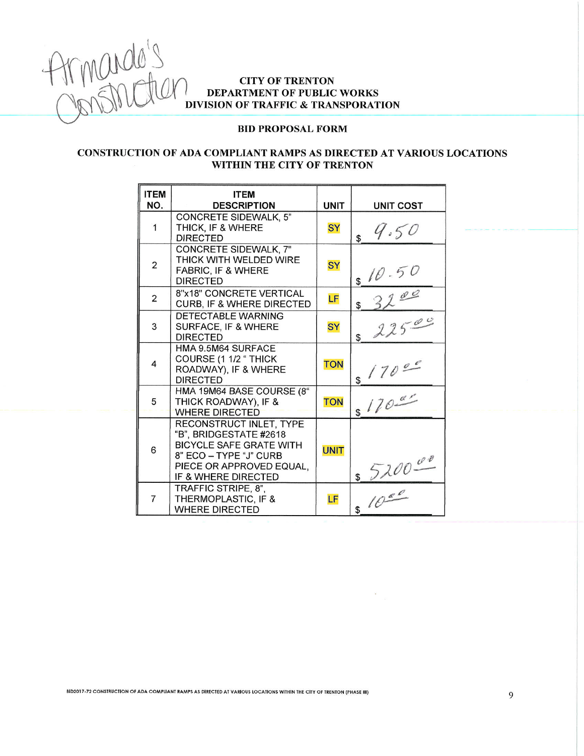

# **CITY OF TRENTON** DEPARTMENT OF PUBLIC WORKS DIVISION OF TRAFFIC & TRANSPORATION

#### **BID PROPOSAL FORM**

## CONSTRUCTION OF ADA COMPLIANT RAMPS AS DIRECTED AT VARIOUS LOCATIONS WITHIN THE CITY OF TRENTON

| <b>ITEM</b><br>NO. | <b>ITEM</b><br><b>DESCRIPTION</b>                                                                                                                                | <b>UNIT</b> | <b>UNIT COST</b>       |
|--------------------|------------------------------------------------------------------------------------------------------------------------------------------------------------------|-------------|------------------------|
| 1                  | <b>CONCRETE SIDEWALK, 5"</b><br>THICK, IF & WHERE<br><b>DIRECTED</b>                                                                                             | <b>SY</b>   | 9.50<br>\$             |
| $\overline{2}$     | CONCRETE SIDEWALK, 7"<br>THICK WITH WELDED WIRE<br><b>FABRIC, IF &amp; WHERE</b><br><b>DIRECTED</b>                                                              | <b>SY</b>   | \$10.50                |
| 2                  | 8"x18" CONCRETE VERTICAL<br><b>CURB, IF &amp; WHERE DIRECTED</b>                                                                                                 | LF          | 3200<br>$\mathfrak s$  |
| 3                  | DETECTABLE WARNING<br>SURFACE, IF & WHERE<br><b>DIRECTED</b>                                                                                                     | <b>SY</b>   | 22500<br>$\mathfrak s$ |
| 4                  | HMA 9.5M64 SURFACE<br>COURSE (1 1/2 " THICK<br>ROADWAY), IF & WHERE<br><b>DIRECTED</b>                                                                           | <b>TON</b>  | 17000<br>\$            |
| 5                  | HMA 19M64 BASE COURSE (8"<br>THICK ROADWAY), IF &<br><b>WHERE DIRECTED</b>                                                                                       | <b>TON</b>  | \$170 <sup>0</sup>     |
| 6                  | RECONSTRUCT INLET, TYPE<br>"B", BRIDGESTATE #2618<br><b>BICYCLE SAFE GRATE WITH</b><br>8" ECO - TYPE "J" CURB<br>PIECE OR APPROVED EQUAL,<br>IF & WHERE DIRECTED | <b>UNIT</b> | 5200000                |
| $\overline{7}$     | TRAFFIC STRIPE, 8",<br>THERMOPLASTIC, IF &<br><b>WHERE DIRECTED</b>                                                                                              | LF          | 10 <sup>0</sup>        |

BID2017-72 CONSTRUCTION OF ADA COMPLIANT RAMPS AS DIRECTED AT VARIOUS LOCATIONS WITHIN THE CITY OF TRENTON (PHASE III)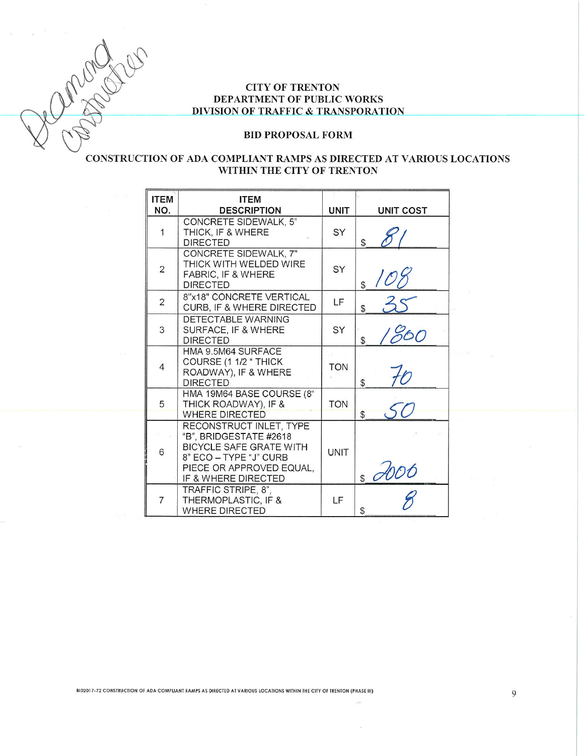10 Mars

## **CITY OF TRENTON** DEPARTMENT OF PUBLIC WORKS DIVISION OF TRAFFIC & TRANSPORATION

#### **BID PROPOSAL FORM**

## CONSTRUCTION OF ADA COMPLIANT RAMPS AS DIRECTED AT VARIOUS LOCATIONS WITHIN THE CITY OF TRENTON

| <b>ITEM</b><br>NO. | <b>ITEM</b><br><b>DESCRIPTION</b>                                                                                                                                | <b>UNIT</b> | <b>UNIT COST</b>    |
|--------------------|------------------------------------------------------------------------------------------------------------------------------------------------------------------|-------------|---------------------|
| 1                  | <b>CONCRETE SIDEWALK, 5"</b><br>THICK, IF & WHERE<br><b>DIRECTED</b>                                                                                             | SY          | \$                  |
| $\overline{2}$     | CONCRETE SIDEWALK, 7"<br>THICK WITH WELDED WIRE<br>FABRIC, IF & WHERE<br><b>DIRECTED</b>                                                                         | SY          | \$                  |
| $\overline{2}$     | 8"x18" CONCRETE VERTICAL<br>CURB, IF & WHERE DIRECTED                                                                                                            | LF          | 35<br>\$            |
| 3                  | DETECTABLE WARNING<br>SURFACE, IF & WHERE<br><b>DIRECTED</b>                                                                                                     | SY          | 1860<br>$\mathbb S$ |
| 4                  | HMA 9.5M64 SURFACE<br>COURSE (1 1/2 " THICK<br>ROADWAY), IF & WHERE<br><b>DIRECTED</b>                                                                           | <b>TON</b>  | 70<br>\$            |
| 5                  | HMA 19M64 BASE COURSE (8"<br>THICK ROADWAY), IF &<br><b>WHERE DIRECTED</b>                                                                                       | <b>TON</b>  | $\mathbb{S}$        |
| 6                  | RECONSTRUCT INLET, TYPE<br>"B", BRIDGESTATE #2618<br><b>BICYCLE SAFE GRATE WITH</b><br>8" ECO - TYPE "J" CURB<br>PIECE OR APPROVED EQUAL,<br>IF & WHERE DIRECTED | <b>UNIT</b> | 6000                |
| $\overline{7}$     | TRAFFIC STRIPE, 8".<br>THERMOPLASTIC, IF &<br><b>WHERE DIRECTED</b>                                                                                              | LF          | \$                  |

BID2017-72 CONSTRUCTION OF ADA COMPLIANT RAMPS AS DIRECTED AT VARIOUS LOCATIONS WITHIN THE CITY OF TRENTON (PHASE III)